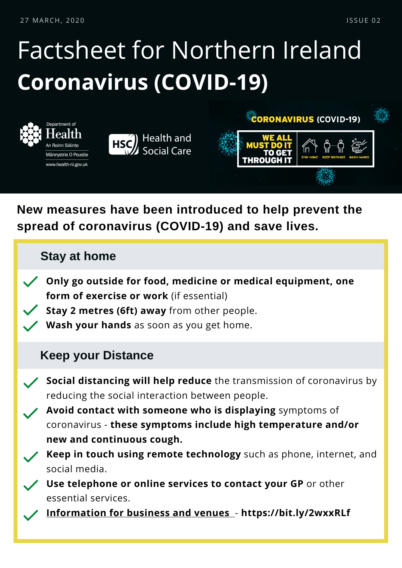27 MARCH, 2020 I S SUE 02

# Factsheet for Northern Ireland **Coronavirus (COVID-19)**



**New measures have been introduced to help prevent the spread of coronavirus (COVID-19) and save lives.**

#### **Stay at home**

- **Only go outside for food, medicine or medical equipment, one form of exercise or work** (if essential)
	- **Stay 2 metres (6ft) away** from other people.
	- **Wash your hands** as soon as you get home.

#### **Keep your Distance**

- **Social distancing will help reduce** the transmission of coronavirus by reducing the social interaction between people.
	- **Avoid contact with someone who is displaying** symptoms of coronavirus - **these symptoms include high temperature and/or new and continuous cough.**
	- **Keep in touch using remote technology** such as phone, internet, and social media.
		- **Use telephone or online services to contact your GP** or other essential services.
		- **[Information](https://bit.ly/2QN9mAg) for business and venues** [-](https://bit.ly/2QN9mAg) **https://bit.ly/2wxxRLf**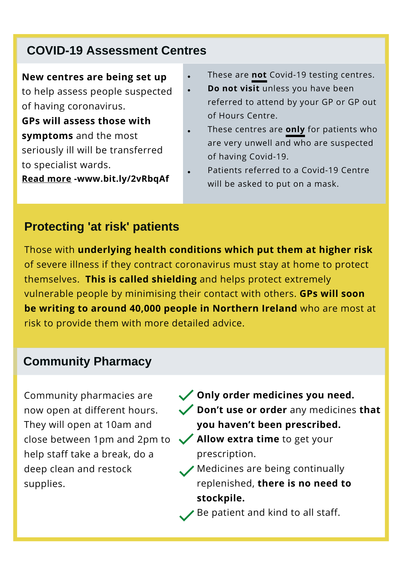### **COVID-19 Assessment Centres**

#### **New centres are being set up**

to help assess people suspected of having coronavirus.

**GPs will assess those with symptoms** and the most seriously ill will be transferred to specialist wards.

**Read [more](https://www.health-ni.gov.uk/news/health-minister-launches-first-primary-care-covid-19-centre) -www.bit.ly/2vRbqAf**

- These are **not** Covid-19 testing centres.
- **Do not visit** unless you have been referred to attend by your GP or GP out of Hours Centre.
- These centres are **only** for patients who are very unwell and who are suspected of having Covid-19.
- Patients referred to a Covid-19 Centre will be asked to put on a mask.

### **Protecting 'at risk' patients**

Those with **underlying health conditions which put them at higher risk** of severe illness if they contract coronavirus must stay at home to protect themselves. **This is called shielding** and helps protect extremely vulnerable people by minimising their contact with others. **GPs will soon be writing to around 40,000 people in Northern Ireland** who are most at risk to provide them with more detailed advice.

 $\bullet$ 

#### **Community Pharmacy**

Community pharmacies are now open at different hours. They will open at 10am and close between 1pm and 2pm to help staff take a break, do a deep clean and restock supplies.

- **Only order medicines you need. Don't use or order** any medicines **that you haven't been prescribed.**
- **Allow extra time** to get your prescription.
- Medicines are being continually replenished, **there is no need to stockpile.**
	- $\triangle$  Be patient and kind to all staff.